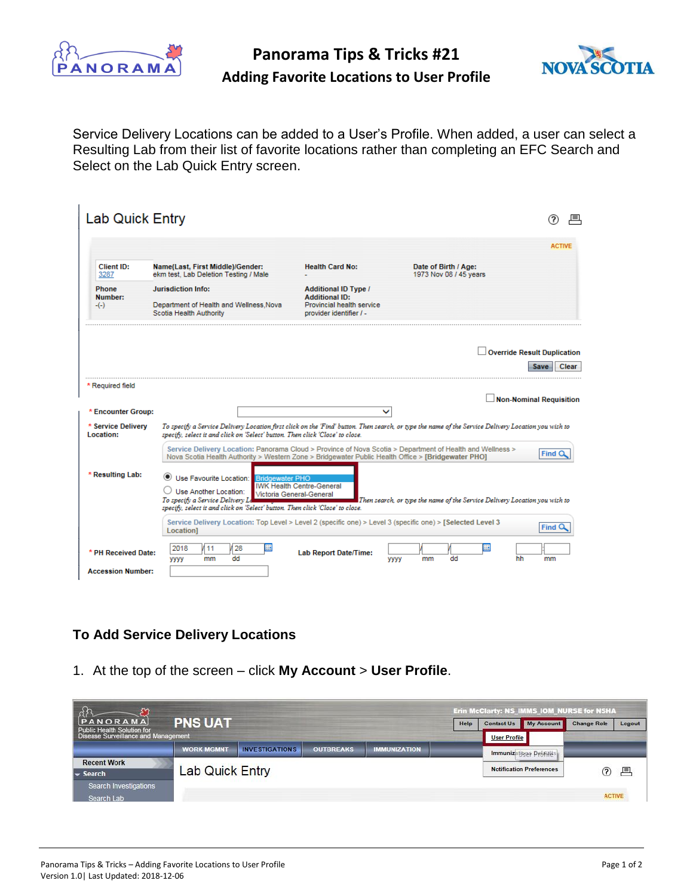

**Panorama Tips & Tricks #21**



## **Adding Favorite Locations to User Profile**

Service Delivery Locations can be added to a User's Profile. When added, a user can select a Resulting Lab from their list of favorite locations rather than completing an EFC Search and Select on the Lab Quick Entry screen.

|                                                       |                                                                                                                                                                              |                                                                                                              |                                                                                                                                                     | <b>ACTIVE</b>                                       |
|-------------------------------------------------------|------------------------------------------------------------------------------------------------------------------------------------------------------------------------------|--------------------------------------------------------------------------------------------------------------|-----------------------------------------------------------------------------------------------------------------------------------------------------|-----------------------------------------------------|
| Client ID:<br>3287                                    | Name(Last, First Middle)/Gender:<br>ekm test. Lab Deletion Testing / Male                                                                                                    | <b>Health Card No:</b>                                                                                       | Date of Birth / Age:<br>1973 Nov 08 / 45 years                                                                                                      |                                                     |
| Phone<br>Number:<br>$-(-)$                            | <b>Jurisdiction Info:</b><br>Department of Health and Wellness, Nova<br>Scotia Health Authority                                                                              | <b>Additional ID Type /</b><br><b>Additional ID:</b><br>Provincial health service<br>provider identifier / - |                                                                                                                                                     |                                                     |
|                                                       |                                                                                                                                                                              |                                                                                                              |                                                                                                                                                     | <b>Override Result Duplication</b><br>Clear<br>Save |
| * Required field                                      |                                                                                                                                                                              |                                                                                                              |                                                                                                                                                     |                                                     |
|                                                       |                                                                                                                                                                              | ◡                                                                                                            |                                                                                                                                                     | <b>Non-Nominal Requisition</b>                      |
|                                                       | specify, select it and click on 'Select' button. Then click 'Close' to close.                                                                                                |                                                                                                              | To specify a Service Delivery Location first click on the 'Find' button. Then search, or type the name of the Service Delivery Location you wish to |                                                     |
| * Encounter Group:<br>* Service Delivery<br>Location: |                                                                                                                                                                              | Nova Scotia Health Authority > Western Zone > Bridgewater Public Health Office > [Bridgewater PHO]           | Service Delivery Location: Panorama Cloud > Province of Nova Scotia > Department of Health and Wellness >                                           | <b>Find C</b>                                       |
|                                                       | Use Favourite Location:<br>$\cup$ Use Another Location:<br>To specify a Service Delivery Le<br>specify, select it and click on 'Select' button. Then click 'Close' to close. | <b>Bridgewater PHO</b><br><b>IWK Health Centre-General</b><br>Victoria General-General                       | Then search, or type the name of the Service Delivery Location you wish to                                                                          |                                                     |
| * Resulting Lab:                                      | Location1                                                                                                                                                                    | Service Delivery Location: Top Level > Level 2 (specific one) > Level 3 (specific one) > [Selected Level 3   |                                                                                                                                                     | <b>Find C</b>                                       |

## **To Add Service Delivery Locations**

1. At the top of the screen – click **My Account** > **User Profile**.

|                                             |                        |                       |                  |                     |      | Erin McClarty: NS_IMMS_IOM_NURSE for NSHA |                                 |                    |        |  |
|---------------------------------------------|------------------------|-----------------------|------------------|---------------------|------|-------------------------------------------|---------------------------------|--------------------|--------|--|
| <b>NORAMA</b><br>Public Health Solution for | <b>PNS UAT</b>         |                       |                  |                     | Help | <b>Contact Us</b>                         | My Account                      | <b>Change Role</b> | Logout |  |
| Disease Surveillance and Management         |                        |                       |                  |                     |      | <b>User Profile</b>                       |                                 |                    |        |  |
|                                             | <b>WORK MGMNT</b>      | <b>INVESTIGATIONS</b> | <b>OUTBREAKS</b> | <b>IMMUNIZATION</b> |      |                                           | Immunizations Destillis         |                    |        |  |
| <b>Recent Work</b>                          |                        |                       |                  |                     |      |                                           |                                 |                    |        |  |
| $\blacktriangleright$ Search                | <b>Lab Quick Entry</b> |                       |                  |                     |      |                                           | <b>Notification Preferences</b> | ℗                  | 具      |  |
| <b>Search Investigations</b>                |                        |                       |                  |                     |      |                                           |                                 |                    |        |  |
| Search Lab                                  |                        |                       |                  |                     |      |                                           |                                 | <b>ACTIVE</b>      |        |  |